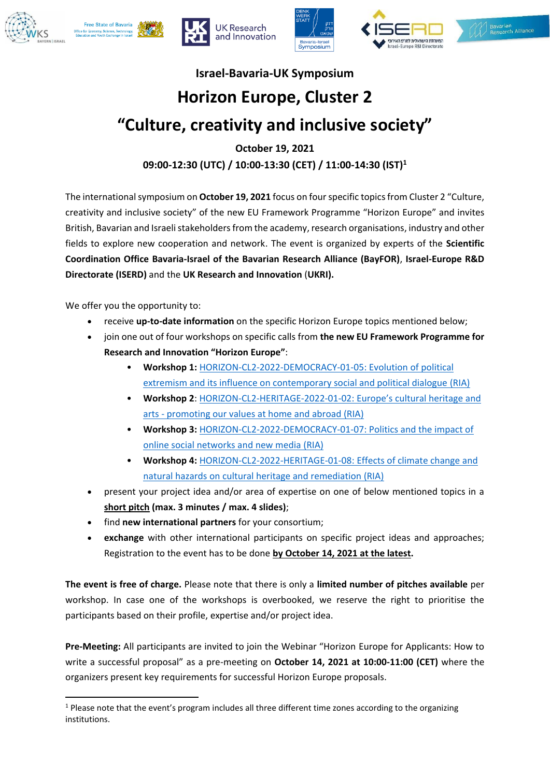









## **Israel-Bavaria-UK Symposium**

# **Horizon Europe, Cluster 2**

## **"Culture, creativity and inclusive society"**

**October 19, 2021 09:00-12:30 (UTC) / 10:00-13:30 (CET) / 11:00-14:30 (IST)<sup>1</sup>**

The international symposium on **October 19, 2021** focus on fourspecific topics from Cluster 2 "Culture, creativity and inclusive society" of the new EU Framework Programme "Horizon Europe" and invites British, Bavarian and Israeli stakeholders from the academy, research organisations, industry and other fields to explore new cooperation and network. The event is organized by experts of the **Scientific Coordination Office Bavaria-Israel of the Bavarian Research Alliance (BayFOR)**, **Israel-Europe R&D Directorate (ISERD)** and the **UK Research and Innovation** (**UKRI).**

We offer you the opportunity to:

 $\overline{\phantom{a}}$ 

- receive **up-to-date information** on the specific Horizon Europe topics mentioned below;
- join one out of four workshops on specific calls from **the new EU Framework Programme for Research and Innovation "Horizon Europe"**:
	- **Workshop 1:** [HORIZON-CL2-2022-DEMOCRACY-01-05: Evolution of political](https://ec.europa.eu/info/funding-tenders/opportunities/portal/screen/opportunities/topic-details/horizon-cl2-2022-democracy-01-05)  [extremism and its influence on contemporary social and political dialogue](https://ec.europa.eu/info/funding-tenders/opportunities/portal/screen/opportunities/topic-details/horizon-cl2-2022-democracy-01-05) (RIA)
	- **Workshop 2**: [HORIZON-CL2-HERITAGE-2022-01-](https://ec.europa.eu/info/funding-tenders/opportunities/portal/screen/opportunities/topic-details/horizon-cl2-2022-heritage-01-02)02: Europe's cultural heritage and arts - [promoting our values at home and abroad \(RIA\)](https://ec.europa.eu/info/funding-tenders/opportunities/portal/screen/opportunities/topic-details/horizon-cl2-2022-heritage-01-02)
	- **Workshop 3:** [HORIZON-CL2-2022-DEMOCRACY-01-07: Politics and the impact of](https://ec.europa.eu/info/funding-tenders/opportunities/portal/screen/opportunities/topic-details/horizon-cl2-2022-democracy-01-07)  [online social networks and new media](https://ec.europa.eu/info/funding-tenders/opportunities/portal/screen/opportunities/topic-details/horizon-cl2-2022-democracy-01-07) (RIA)
	- **Workshop 4:** [HORIZON-CL2-2022-HERITAGE-01-08: Effects of climate change and](https://ec.europa.eu/info/funding-tenders/opportunities/portal/screen/opportunities/topic-details/horizon-cl2-2022-heritage-01-08)  [natural hazards on cultural heritage and remediation](https://ec.europa.eu/info/funding-tenders/opportunities/portal/screen/opportunities/topic-details/horizon-cl2-2022-heritage-01-08) (RIA)
- present your project idea and/or area of expertise on one of below mentioned topics in a **short pitch (max. 3 minutes / max. 4 slides)**;
- find **new international partners** for your consortium;
- **exchange** with other international participants on specific project ideas and approaches; Registration to the event has to be done **by October 14, 2021 at the latest.**

**The event is free of charge.** Please note that there is only a **limited number of pitches available** per workshop. In case one of the workshops is overbooked, we reserve the right to prioritise the participants based on their profile, expertise and/or project idea.

**Pre-Meeting:** All participants are invited to join the Webinar "Horizon Europe for Applicants: How to write a successful proposal" as a pre-meeting on **October 14, 2021 at 10:00-11:00 (CET)** where the organizers present key requirements for successful Horizon Europe proposals.

<sup>&</sup>lt;sup>1</sup> Please note that the event's program includes all three different time zones according to the organizing institutions.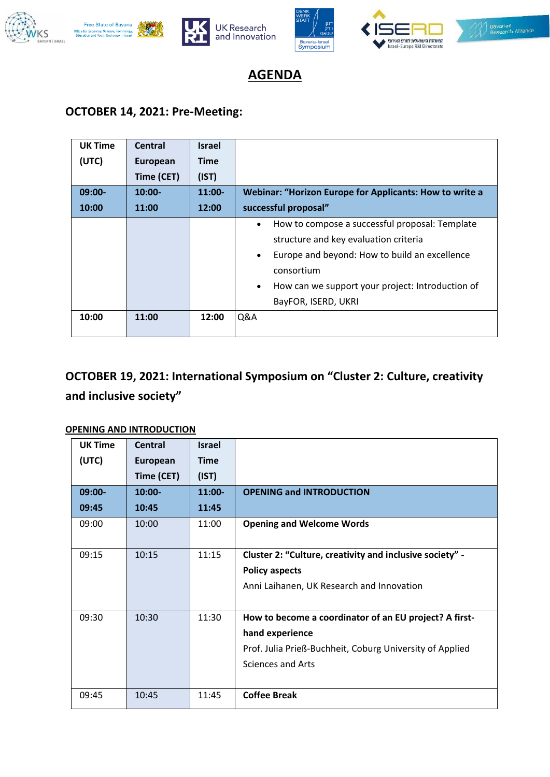









**AGENDA**

## **OCTOBER 14, 2021: Pre-Meeting:**

| <b>UK Time</b> | Central    | <b>Israel</b> |                                                                                                                                                                                                                                                                          |  |
|----------------|------------|---------------|--------------------------------------------------------------------------------------------------------------------------------------------------------------------------------------------------------------------------------------------------------------------------|--|
| (UTC)          | European   | <b>Time</b>   |                                                                                                                                                                                                                                                                          |  |
|                | Time (CET) | (IST)         |                                                                                                                                                                                                                                                                          |  |
| $09:00-$       | $10:00 -$  | $11:00-$      | Webinar: "Horizon Europe for Applicants: How to write a                                                                                                                                                                                                                  |  |
| 10:00          | 11:00      | 12:00         | successful proposal"                                                                                                                                                                                                                                                     |  |
|                |            |               | How to compose a successful proposal: Template<br>$\bullet$<br>structure and key evaluation criteria<br>Europe and beyond: How to build an excellence<br>$\bullet$<br>consortium<br>How can we support your project: Introduction of<br>$\bullet$<br>BayFOR, ISERD, UKRI |  |
| 10:00          | 11:00      | 12:00         | Q&A                                                                                                                                                                                                                                                                      |  |

## **OCTOBER 19, 2021: International Symposium on "Cluster 2: Culture, creativity and inclusive society"**

#### **OPENING AND INTRODUCTION**

| <b>UK Time</b> | <b>Central</b> | <b>Israel</b> |                                                                                                                                                            |  |
|----------------|----------------|---------------|------------------------------------------------------------------------------------------------------------------------------------------------------------|--|
| (UTC)          | European       | <b>Time</b>   |                                                                                                                                                            |  |
|                | Time (CET)     | (IST)         |                                                                                                                                                            |  |
| 09:00-         | $10:00 -$      | 11:00-        | <b>OPENING and INTRODUCTION</b>                                                                                                                            |  |
| 09:45          | 10:45          | 11:45         |                                                                                                                                                            |  |
| 09:00          | 10:00          | 11:00         | <b>Opening and Welcome Words</b>                                                                                                                           |  |
| 09:15          | 10:15          | 11:15         | Cluster 2: "Culture, creativity and inclusive society" -<br><b>Policy aspects</b><br>Anni Laihanen, UK Research and Innovation                             |  |
| 09:30          | 10:30          | 11:30         | How to become a coordinator of an EU project? A first-<br>hand experience<br>Prof. Julia Prieß-Buchheit, Coburg University of Applied<br>Sciences and Arts |  |
| 09:45          | 10:45          | 11:45         | <b>Coffee Break</b>                                                                                                                                        |  |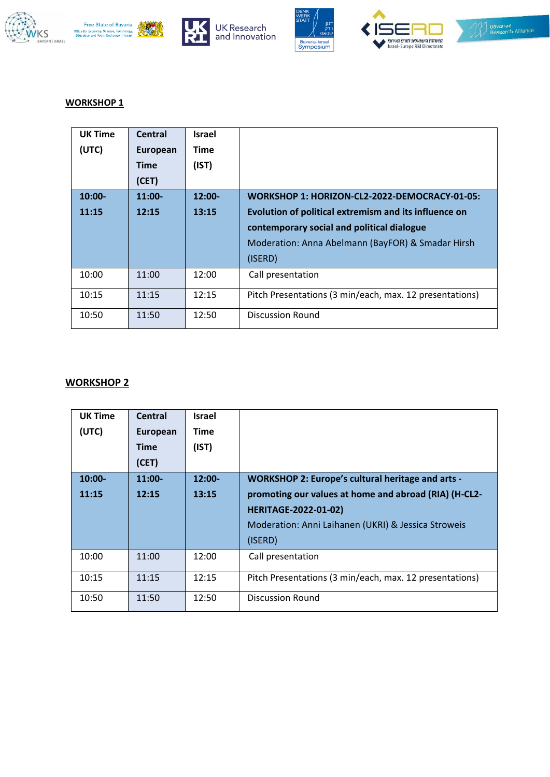











#### **WORKSHOP 1**

| <b>UK Time</b> | Central     | <b>Israel</b> |                                                         |  |
|----------------|-------------|---------------|---------------------------------------------------------|--|
| (UTC)          | European    | Time          |                                                         |  |
|                | <b>Time</b> | (IST)         |                                                         |  |
|                | (CET)       |               |                                                         |  |
| $10:00-$       | $11:00-$    | $12:00 -$     | WORKSHOP 1: HORIZON-CL2-2022-DEMOCRACY-01-05:           |  |
| 11:15          | 12:15       | 13:15         | Evolution of political extremism and its influence on   |  |
|                |             |               | contemporary social and political dialogue              |  |
|                |             |               | Moderation: Anna Abelmann (BayFOR) & Smadar Hirsh       |  |
|                |             |               | (ISERD)                                                 |  |
| 10:00          | 11:00       | 12:00         | Call presentation                                       |  |
| 10:15          | 11:15       | 12:15         | Pitch Presentations (3 min/each, max. 12 presentations) |  |
| 10:50          | 11:50       | 12:50         | <b>Discussion Round</b>                                 |  |

#### **WORKSHOP 2**

| <b>UK Time</b> | <b>Central</b>  | <b>Israel</b> |                                                          |  |
|----------------|-----------------|---------------|----------------------------------------------------------|--|
| (UTC)          | <b>European</b> | Time          |                                                          |  |
|                | Time            | (IST)         |                                                          |  |
|                | (CET)           |               |                                                          |  |
| 10:00-         | $11:00-$        | $12:00 -$     | <b>WORKSHOP 2: Europe's cultural heritage and arts -</b> |  |
| 11:15          | 12:15           | 13:15         | promoting our values at home and abroad (RIA) (H-CL2-    |  |
|                |                 |               | <b>HERITAGE-2022-01-02)</b>                              |  |
|                |                 |               | Moderation: Anni Laihanen (UKRI) & Jessica Stroweis      |  |
|                |                 |               | (ISERD)                                                  |  |
| 10:00          | 11:00           | 12:00         | Call presentation                                        |  |
| 10:15          | 11:15           | 12:15         | Pitch Presentations (3 min/each, max. 12 presentations)  |  |
| 10:50          | 11:50           | 12:50         | Discussion Round                                         |  |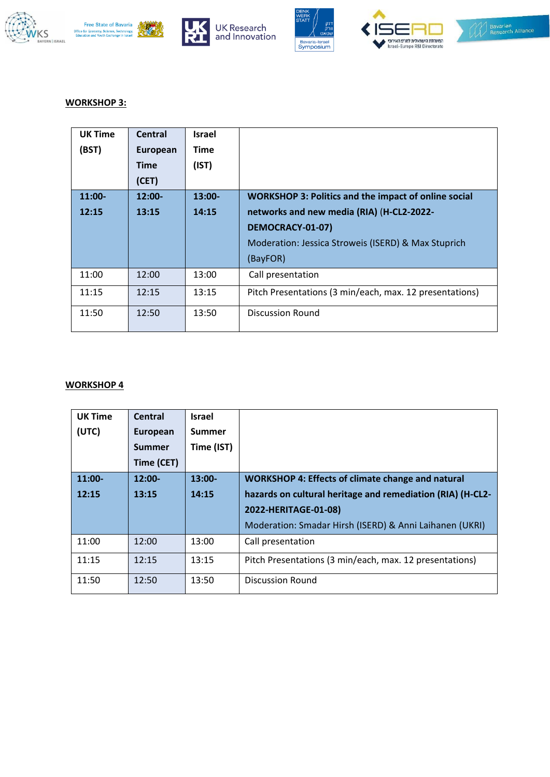













#### **WORKSHOP 3:**

| <b>UK Time</b> | <b>Central</b> | Israel      |                                                             |  |
|----------------|----------------|-------------|-------------------------------------------------------------|--|
| (BST)          | European       | <b>Time</b> |                                                             |  |
|                | <b>Time</b>    | (IST)       |                                                             |  |
|                | (CET)          |             |                                                             |  |
| $11:00-$       | $12:00 -$      | $13:00 -$   | <b>WORKSHOP 3: Politics and the impact of online social</b> |  |
| 12:15          | 13:15          | 14:15       | networks and new media (RIA) (H-CL2-2022-                   |  |
|                |                |             | DEMOCRACY-01-07)                                            |  |
|                |                |             | Moderation: Jessica Stroweis (ISERD) & Max Stuprich         |  |
|                |                |             | (BayFOR)                                                    |  |
| 11:00          | 12:00          | 13:00       | Call presentation                                           |  |
| 11:15          | 12:15          | 13:15       | Pitch Presentations (3 min/each, max. 12 presentations)     |  |
| 11:50          | 12:50          | 13:50       | Discussion Round                                            |  |

#### **WORKSHOP 4**

| <b>UK Time</b> | Central       | <b>Israel</b> |                                                            |  |
|----------------|---------------|---------------|------------------------------------------------------------|--|
| (UTC)          | European      | Summer        |                                                            |  |
|                | <b>Summer</b> | Time (IST)    |                                                            |  |
|                | Time (CET)    |               |                                                            |  |
| $11:00-$       | $12:00 -$     | $13:00-$      | <b>WORKSHOP 4: Effects of climate change and natural</b>   |  |
| 12:15          | 13:15         | 14:15         | hazards on cultural heritage and remediation (RIA) (H-CL2- |  |
|                |               |               | 2022-HERITAGE-01-08)                                       |  |
|                |               |               | Moderation: Smadar Hirsh (ISERD) & Anni Laihanen (UKRI)    |  |
| 11:00          | 12:00         | 13:00         | Call presentation                                          |  |
| 11:15          | 12:15         | 13:15         | Pitch Presentations (3 min/each, max. 12 presentations)    |  |
| 11:50          | 12:50         | 13:50         | <b>Discussion Round</b>                                    |  |